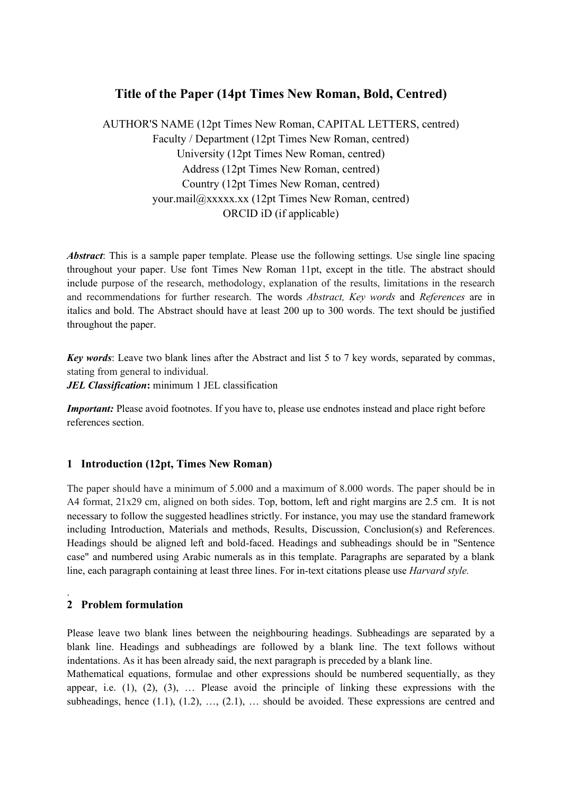# **Title of the Paper (14pt Times New Roman, Bold, Centred)**

AUTHOR'S NAME (12pt Times New Roman, CAPITAL LETTERS, centred) Faculty / Department (12pt Times New Roman, centred) University (12pt Times New Roman, centred) Address (12pt Times New Roman, centred) Country (12pt Times New Roman, centred) your.mail@xxxxx.xx (12pt Times New Roman, centred) ORCID iD (if applicable)

*Abstract*: This is a sample paper template. Please use the following settings. Use single line spacing throughout your paper. Use font Times New Roman 11pt, except in the title. The abstract should include purpose of the research, methodology, explanation of the results, limitations in the research and recommendations for further research. The words *Abstract, Key words* and *References* are in italics and bold. The Abstract should have at least 200 up to 300 words. The text should be justified throughout the paper.

*Key words*: Leave two blank lines after the Abstract and list 5 to 7 key words, separated by commas, stating from general to individual.

*JEL Classification***:** minimum 1 JEL classification

*Important:* Please avoid footnotes. If you have to, please use endnotes instead and place right before references section.

# **1 Introduction (12pt, Times New Roman)**

The paper should have a minimum of 5.000 and a maximum of 8.000 words. The paper should be in A4 format, 21x29 cm, aligned on both sides. Top, bottom, left and right margins are 2.5 cm. It is not necessary to follow the suggested headlines strictly. For instance, you may use the standard framework including Introduction, Materials and methods, Results, Discussion, Conclusion(s) and References. Headings should be aligned left and bold-faced. Headings and subheadings should be in "Sentence case" and numbered using Arabic numerals as in this template. Paragraphs are separated by a blank line, each paragraph containing at least three lines. For in-text citations please use *Harvard style.*

# **2 Problem formulation**

.

Please leave two blank lines between the neighbouring headings. Subheadings are separated by a blank line. Headings and subheadings are followed by a blank line. The text follows without indentations. As it has been already said, the next paragraph is preceded by a blank line.

Mathematical equations, formulae and other expressions should be numbered sequentially, as they appear, i.e.  $(1)$ ,  $(2)$ ,  $(3)$ ,  $\ldots$  Please avoid the principle of linking these expressions with the subheadings, hence  $(1.1)$ ,  $(1.2)$ , ...,  $(2.1)$ , ... should be avoided. These expressions are centred and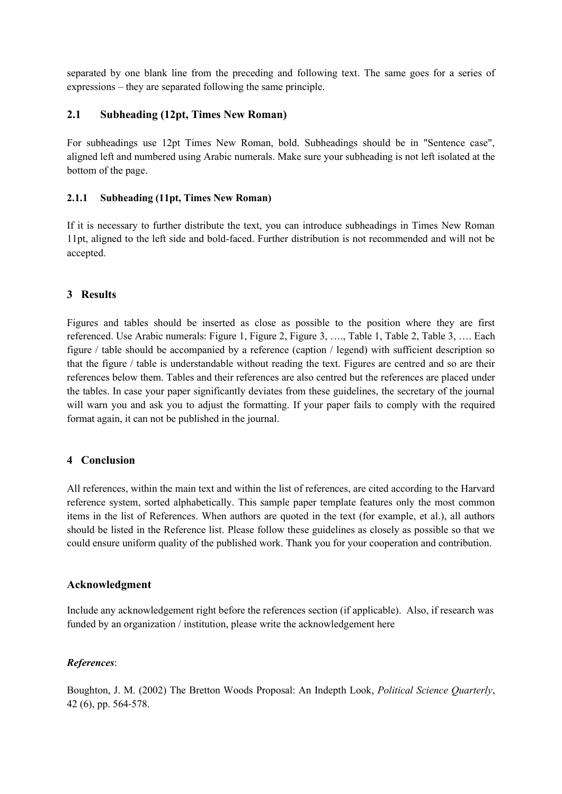separated by one blank line from the preceding and following text. The same goes for a series of expressions – they are separated following the same principle.

# **2.1 Subheading (12pt, Times New Roman)**

For subheadings use 12pt Times New Roman, bold. Subheadings should be in "Sentence case", aligned left and numbered using Arabic numerals. Make sure your subheading is not left isolated at the bottom of the page.

#### **2.1.1 Subheading (11pt, Times New Roman)**

If it is necessary to further distribute the text, you can introduce subheadings in Times New Roman 11pt, aligned to the left side and bold-faced. Further distribution is not recommended and will not be accepted.

# **3 Results**

Figures and tables should be inserted as close as possible to the position where they are first referenced. Use Arabic numerals: Figure 1, Figure 2, Figure 3, …., Table 1, Table 2, Table 3, …. Each figure / table should be accompanied by a reference (caption / legend) with sufficient description so that the figure / table is understandable without reading the text. Figures are centred and so are their references below them. Tables and their references are also centred but the references are placed under the tables. In case your paper significantly deviates from these guidelines, the secretary of the journal will warn you and ask you to adjust the formatting. If your paper fails to comply with the required format again, it can not be published in the journal.

# **4 Conclusion**

All references, within the main text and within the list of references, are cited according to the Harvard reference system, sorted alphabetically. This sample paper template features only the most common items in the list of References. When authors are quoted in the text (for example, et al.), all authors should be listed in the Reference list. Please follow these guidelines as closely as possible so that we could ensure uniform quality of the published work. Thank you for your cooperation and contribution.

# **Acknowledgment**

Include any acknowledgement right before the references section (if applicable). Also, if research was funded by an organization / institution, please write the acknowledgement here

# *References*:

Boughton, J. M. (2002) The Bretton Woods Proposal: An Indepth Look, *Political Science Quarterly*, 42 (6), pp. 564‐578.